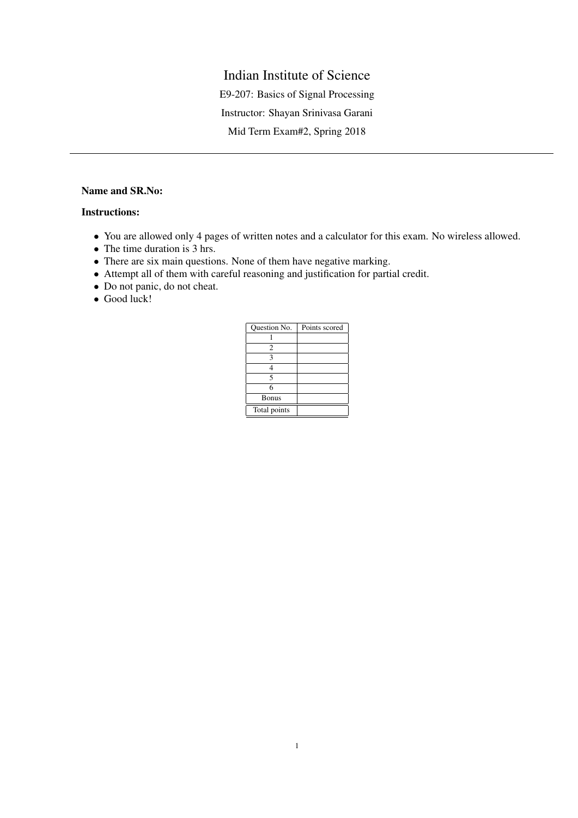## Indian Institute of Science

E9-207: Basics of Signal Processing

Instructor: Shayan Srinivasa Garani

Mid Term Exam#2, Spring 2018

## Name and SR.No:

## Instructions:

- You are allowed only 4 pages of written notes and a calculator for this exam. No wireless allowed.
- The time duration is 3 hrs.
- There are six main questions. None of them have negative marking.
- Attempt all of them with careful reasoning and justification for partial credit.
- Do not panic, do not cheat.
- Good luck!

| Question No.   | Points scored |
|----------------|---------------|
|                |               |
| $\overline{c}$ |               |
| 3              |               |
|                |               |
| 5              |               |
| 6              |               |
| <b>Bonus</b>   |               |
| Total points   |               |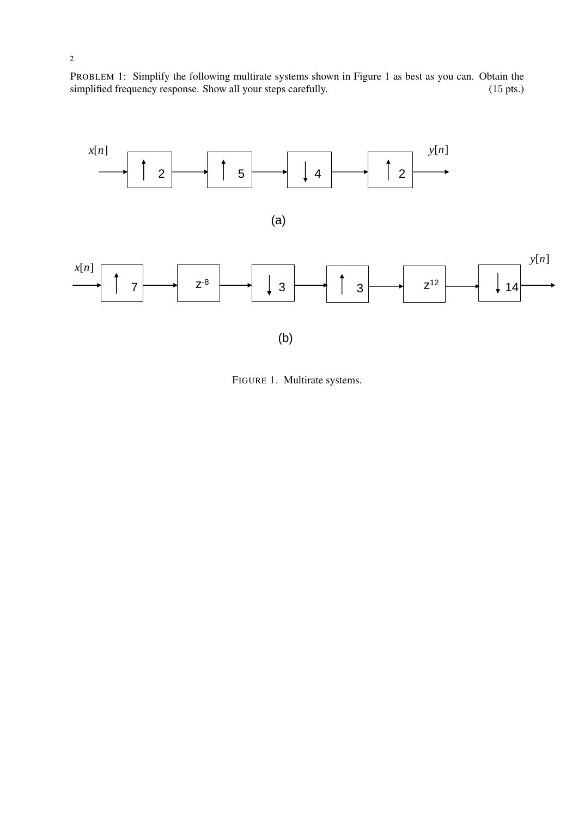PROBLEM 1: Simplify the following multirate systems shown in Figure 1 as best as you can. Obtain the simplified frequency response. Show all your steps carefully. (15 pts.) (15 pts.)



FIGURE 1. Multirate systems.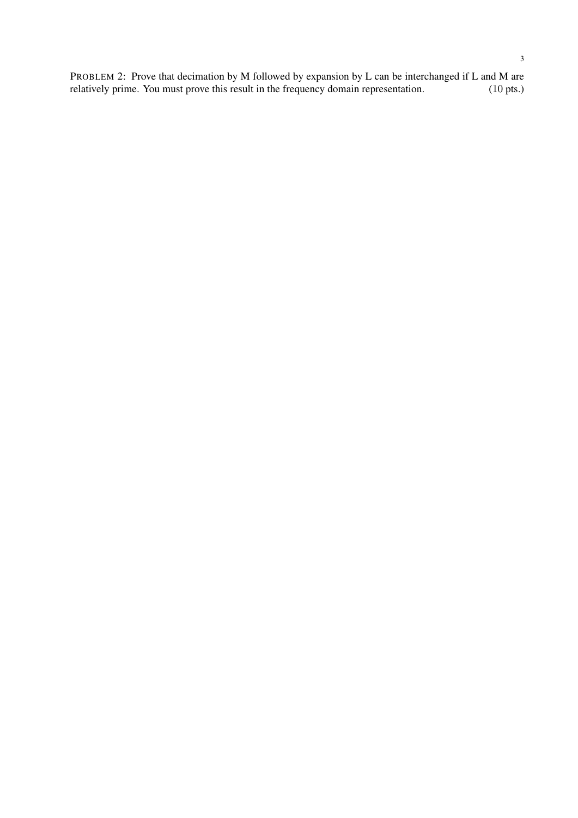PROBLEM 2: Prove that decimation by M followed by expansion by L can be interchanged if L and M are relatively prime. You must prove this result in the frequency domain representation. (10 pts.) relatively prime. You must prove this result in the frequency domain representation.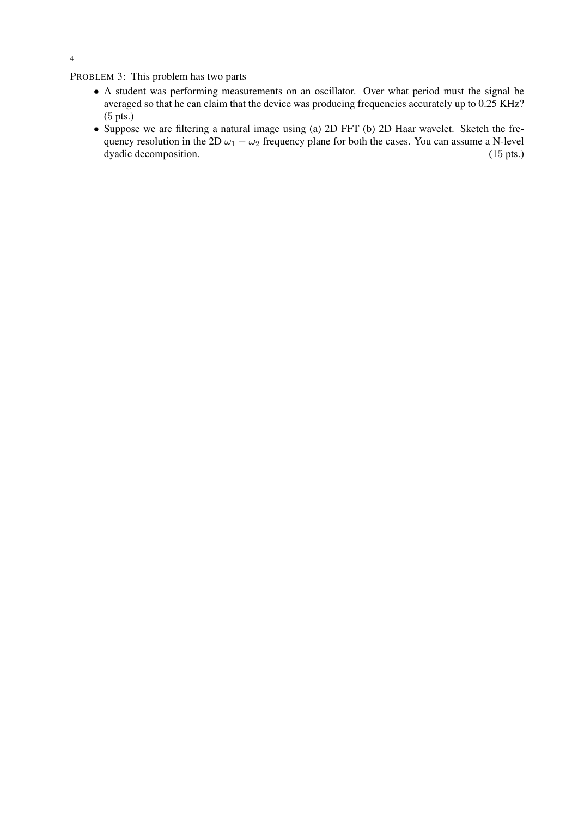PROBLEM 3: This problem has two parts

- A student was performing measurements on an oscillator. Over what period must the signal be averaged so that he can claim that the device was producing frequencies accurately up to 0.25 KHz? (5 pts.)
- Suppose we are filtering a natural image using (a) 2D FFT (b) 2D Haar wavelet. Sketch the frequency resolution in the 2D  $\omega_1 - \omega_2$  frequency plane for both the cases. You can assume a N-level dyadic decomposition. (15 pts.) dyadic decomposition.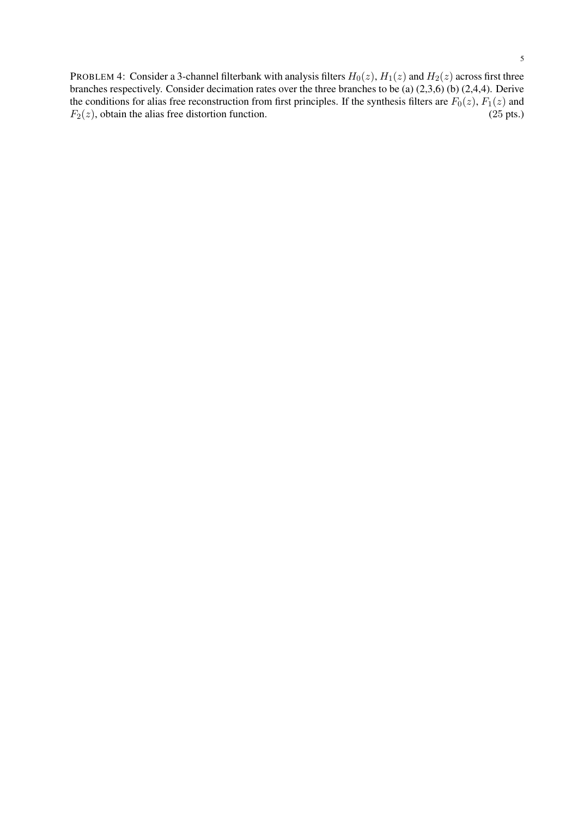PROBLEM 4: Consider a 3-channel filterbank with analysis filters  $H_0(z)$ ,  $H_1(z)$  and  $H_2(z)$  across first three branches respectively. Consider decimation rates over the three branches to be (a) (2,3,6) (b) (2,4,4). Derive the conditions for alias free reconstruction from first principles. If the synthesis filters are  $F_0(z)$ ,  $F_1(z)$  and  $F_2(z)$ , obtain the alias free distortion function. (25 pts.)  $F_2(z)$ , obtain the alias free distortion function.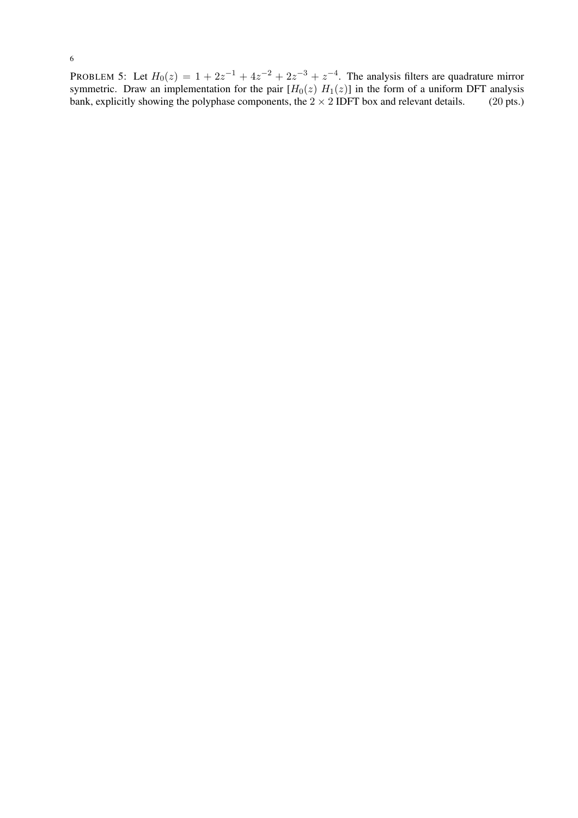PROBLEM 5: Let  $H_0(z) = 1 + 2z^{-1} + 4z^{-2} + 2z^{-3} + z^{-4}$ . The analysis filters are quadrature mirror symmetric. Draw an implementation for the pair  $[H_0(z) H_1(z)]$  in the form of a uniform DFT analysis bank, explicitly showing the polyphase components, the  $2 \times 2$  IDFT box and relevant details. (20 pts.)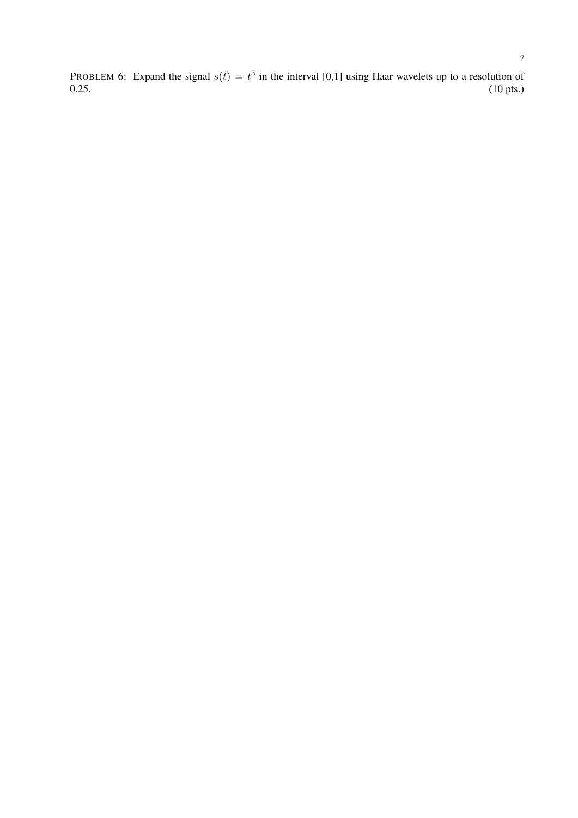PROBLEM 6: Expand the signal  $s(t) = t^3$  in the interval [0,1] using Haar wavelets up to a resolution of  $0.25.$  (10 pts.)